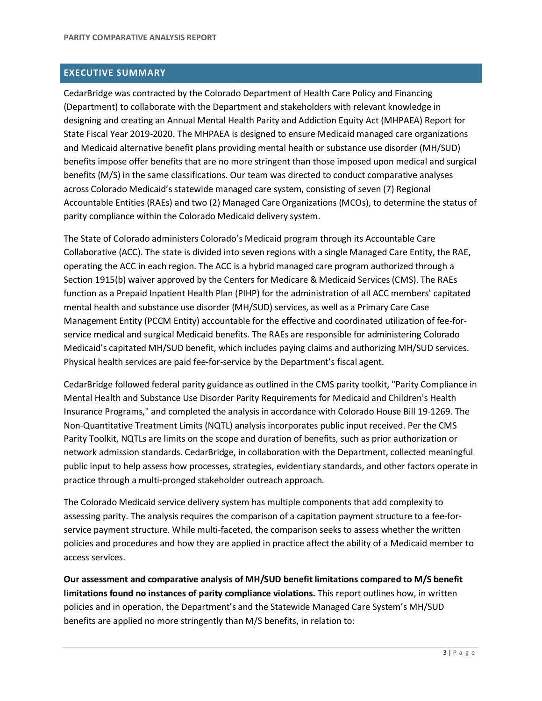# **EXECUTIVE SUMMARY**

CedarBridge was contracted by the Colorado Department of Health Care Policy and Financing (Department) to collaborate with the Department and stakeholders with relevant knowledge in designing and creating an Annual Mental Health Parity and Addiction Equity Act (MHPAEA) Report for State Fiscal Year 2019-2020. The MHPAEA is designed to ensure Medicaid managed care organizations and Medicaid alternative benefit plans providing mental health or substance use disorder (MH/SUD) benefits impose offer benefits that are no more stringent than those imposed upon medical and surgical benefits (M/S) in the same classifications. Our team was directed to conduct comparative analyses across Colorado Medicaid's statewide managed care system, consisting of seven (7) Regional Accountable Entities (RAEs) and two (2) Managed Care Organizations (MCOs), to determine the status of parity compliance within the Colorado Medicaid delivery system.

The State of Colorado administers Colorado's Medicaid program through its Accountable Care Collaborative (ACC). The state is divided into seven regions with a single Managed Care Entity, the RAE, operating the ACC in each region. The ACC is a hybrid managed care program authorized through a Section 1915(b) waiver approved by the Centers for Medicare & Medicaid Services (CMS). The RAEs function as a Prepaid Inpatient Health Plan (PIHP) for the administration of all ACC members' capitated mental health and substance use disorder (MH/SUD) services, as well as a Primary Care Case Management Entity (PCCM Entity) accountable for the effective and coordinated utilization of fee-forservice medical and surgical Medicaid benefits. The RAEs are responsible for administering Colorado Medicaid's capitated MH/SUD benefit, which includes paying claims and authorizing MH/SUD services. Physical health services are paid fee-for-service by the Department's fiscal agent.

CedarBridge followed federal parity guidance as outlined in the CMS parity toolkit, "Parity Compliance in Mental Health and Substance Use Disorder Parity Requirements for Medicaid and Children's Health Insurance Programs," and completed the analysis in accordance with Colorado House Bill 19-1269. The Non-Quantitative Treatment Limits (NQTL) analysis incorporates public input received. Per the CMS Parity Toolkit, NQTLs are limits on the scope and duration of benefits, such as prior authorization or network admission standards. CedarBridge, in collaboration with the Department, collected meaningful public input to help assess how processes, strategies, evidentiary standards, and other factors operate in practice through a multi-pronged stakeholder outreach approach.

The Colorado Medicaid service delivery system has multiple components that add complexity to assessing parity. The analysis requires the comparison of a capitation payment structure to a fee-forservice payment structure. While multi-faceted, the comparison seeks to assess whether the written policies and procedures and how they are applied in practice affect the ability of a Medicaid member to access services.

**Our assessment and comparative analysis of MH/SUD benefit limitations compared to M/S benefit limitations found no instances of parity compliance violations.** This report outlines how, in written policies and in operation, the Department's and the Statewide Managed Care System's MH/SUD benefits are applied no more stringently than M/S benefits, in relation to: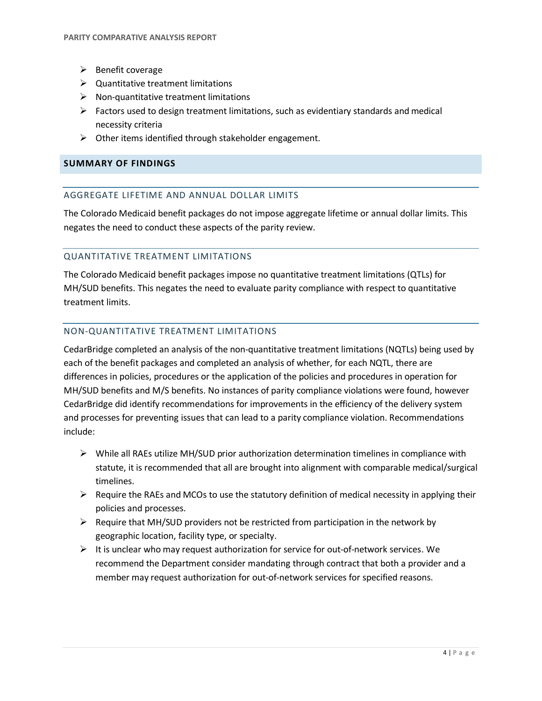- $\triangleright$  Benefit coverage
- $\triangleright$  Quantitative treatment limitations
- $\triangleright$  Non-quantitative treatment limitations
- $\triangleright$  Factors used to design treatment limitations, such as evidentiary standards and medical necessity criteria
- $\triangleright$  Other items identified through stakeholder engagement.

### **SUMMARY OF FINDINGS**

### AGGREGATE LIFETIME AND ANNUAL DOLLAR LIMITS

The Colorado Medicaid benefit packages do not impose aggregate lifetime or annual dollar limits. This negates the need to conduct these aspects of the parity review.

#### QUANTITATIVE TREATMENT LIMITATIONS

The Colorado Medicaid benefit packages impose no quantitative treatment limitations (QTLs) for MH/SUD benefits. This negates the need to evaluate parity compliance with respect to quantitative treatment limits.

#### NON-QUANTITATIVE TREATMENT LIMITATIONS

CedarBridge completed an analysis of the non-quantitative treatment limitations (NQTLs) being used by each of the benefit packages and completed an analysis of whether, for each NQTL, there are differences in policies, procedures or the application of the policies and procedures in operation for MH/SUD benefits and M/S benefits. No instances of parity compliance violations were found, however CedarBridge did identify recommendations for improvements in the efficiency of the delivery system and processes for preventing issues that can lead to a parity compliance violation. Recommendations include:

- $\triangleright$  While all RAEs utilize MH/SUD prior authorization determination timelines in compliance with statute, it is recommended that all are brought into alignment with comparable medical/surgical timelines.
- $\triangleright$  Require the RAEs and MCOs to use the statutory definition of medical necessity in applying their policies and processes.
- $\triangleright$  Require that MH/SUD providers not be restricted from participation in the network by geographic location, facility type, or specialty.
- $\triangleright$  It is unclear who may request authorization for service for out-of-network services. We recommend the Department consider mandating through contract that both a provider and a member may request authorization for out-of-network services for specified reasons.